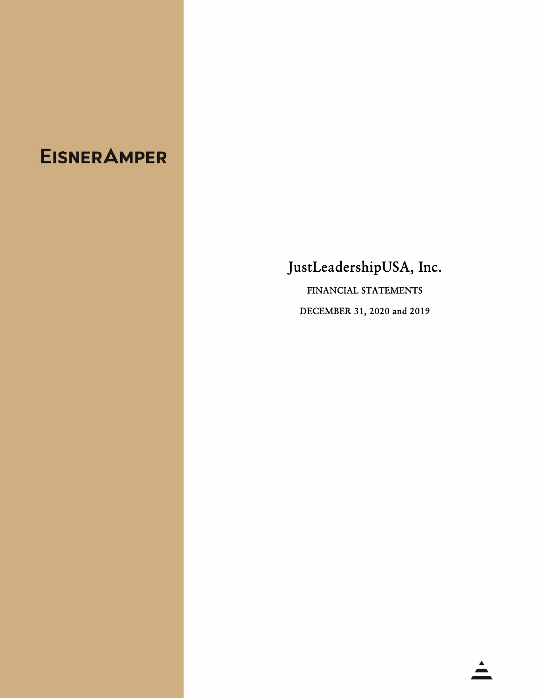# **EISNER AMPER**

# JustLeadershipUSA, Inc.

FINANCIAL STATEMENTS DECEMBER 31, 2020 and 2019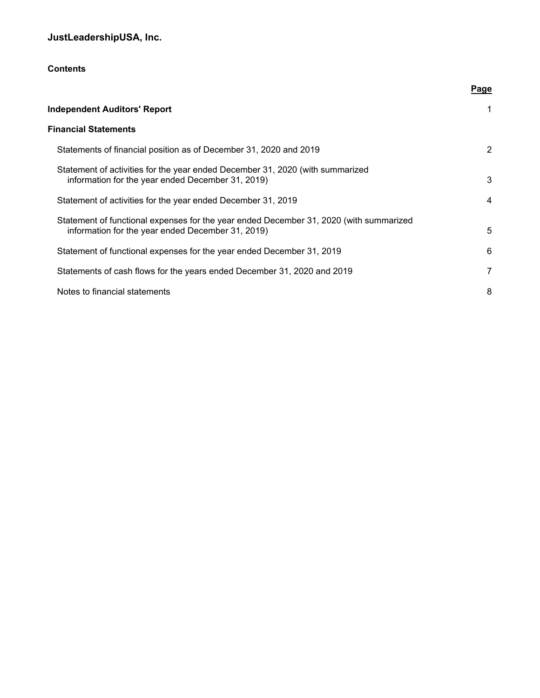# **Contents**

|                                                                                                                                             | Page |
|---------------------------------------------------------------------------------------------------------------------------------------------|------|
| <b>Independent Auditors' Report</b>                                                                                                         | 1    |
| <b>Financial Statements</b>                                                                                                                 |      |
| Statements of financial position as of December 31, 2020 and 2019                                                                           | 2    |
| Statement of activities for the year ended December 31, 2020 (with summarized<br>information for the year ended December 31, 2019)          | 3    |
| Statement of activities for the year ended December 31, 2019                                                                                | 4    |
| Statement of functional expenses for the year ended December 31, 2020 (with summarized<br>information for the year ended December 31, 2019) | 5    |
| Statement of functional expenses for the year ended December 31, 2019                                                                       | 6    |
| Statements of cash flows for the years ended December 31, 2020 and 2019                                                                     | 7    |
| Notes to financial statements                                                                                                               | 8    |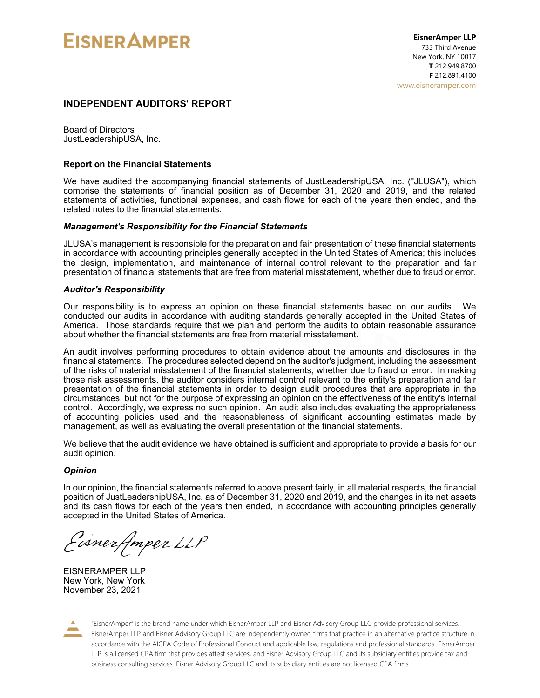# **EISNER AMPER**

# **INDEPENDENT AUDITORS' REPORT**

Board of Directors JustLeadershipUSA, Inc.

#### **Report on the Financial Statements**

We have audited the accompanying financial statements of JustLeadershipUSA, Inc. ("JLUSA"), which comprise the statements of financial position as of December 31, 2020 and 2019, and the related statements of activities, functional expenses, and cash flows for each of the years then ended, and the related notes to the financial statements.

#### *Management's Responsibility for the Financial Statements*

JLUSA's management is responsible for the preparation and fair presentation of these financial statements in accordance with accounting principles generally accepted in the United States of America; this includes the design, implementation, and maintenance of internal control relevant to the preparation and fair presentation of financial statements that are free from material misstatement, whether due to fraud or error.

#### *Auditor's Responsibility*

Our responsibility is to express an opinion on these financial statements based on our audits. We conducted our audits in accordance with auditing standards generally accepted in the United States of America. Those standards require that we plan and perform the audits to obtain reasonable assurance about whether the financial statements are free from material misstatement.

An audit involves performing procedures to obtain evidence about the amounts and disclosures in the financial statements. The procedures selected depend on the auditor's judgment, including the assessment of the risks of material misstatement of the financial statements, whether due to fraud or error. In making those risk assessments, the auditor considers internal control relevant to the entity's preparation and fair presentation of the financial statements in order to design audit procedures that are appropriate in the circumstances, but not for the purpose of expressing an opinion on the effectiveness of the entity's internal control. Accordingly, we express no such opinion. An audit also includes evaluating the appropriateness of accounting policies used and the reasonableness of significant accounting estimates made by management, as well as evaluating the overall presentation of the financial statements.

We believe that the audit evidence we have obtained is sufficient and appropriate to provide a basis for our audit opinion.

# *Opinion*

In our opinion, the financial statements referred to above present fairly, in all material respects, the financial position of JustLeadershipUSA, Inc. as of December 31, 2020 and 2019, and the changes in its net assets and its cash flows for each of the years then ended, in accordance with accounting principles generally accepted in the United States of America.

Eisnerfmper LLP

EISNERAMPER LLP New York, New York November 23, 2021



"EisnerAmper" is the brand name under which EisnerAmper LLP and Eisner Advisory Group LLC provide professional services. EisnerAmper LLP and Eisner Advisory Group LLC are independently owned firms that practice in an alternative practice structure in accordance with the AICPA Code of Professional Conduct and applicable law, regulations and professional standards. EisnerAmper LLP is a licensed CPA firm that provides attest services, and Eisner Advisory Group LLC and its subsidiary entities provide tax and business consulting services. Eisner Advisory Group LLC and its subsidiary entities are not licensed CPA firms.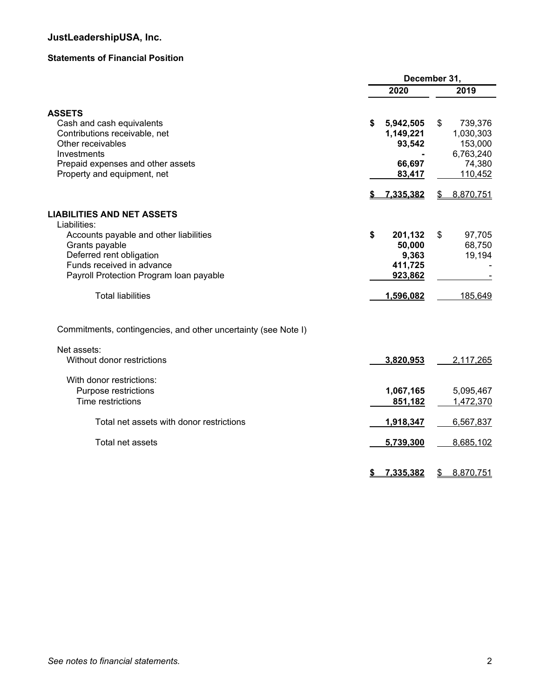# **Statements of Financial Position**

|                                                                | December 31, |           |               |           |
|----------------------------------------------------------------|--------------|-----------|---------------|-----------|
|                                                                |              | 2020      |               | 2019      |
| <b>ASSETS</b>                                                  |              |           |               |           |
| Cash and cash equivalents                                      | \$           | 5,942,505 | \$            | 739,376   |
| Contributions receivable, net                                  |              | 1,149,221 |               | 1,030,303 |
| Other receivables                                              |              | 93,542    |               | 153,000   |
| Investments                                                    |              |           |               | 6,763,240 |
| Prepaid expenses and other assets                              |              | 66,697    |               | 74,380    |
| Property and equipment, net                                    |              | 83,417    |               | 110,452   |
|                                                                |              | 7,335,382 | $\frac{1}{2}$ | 8,870,751 |
| <b>LIABILITIES AND NET ASSETS</b>                              |              |           |               |           |
| Liabilities:                                                   |              |           |               |           |
| Accounts payable and other liabilities                         | \$           | 201,132   | \$            | 97,705    |
| Grants payable                                                 |              | 50,000    |               | 68,750    |
| Deferred rent obligation                                       |              | 9,363     |               | 19,194    |
| Funds received in advance                                      |              | 411,725   |               |           |
| Payroll Protection Program Ioan payable                        |              | 923,862   |               |           |
| <b>Total liabilities</b>                                       |              | 1,596,082 |               | 185,649   |
| Commitments, contingencies, and other uncertainty (see Note I) |              |           |               |           |
| Net assets:                                                    |              |           |               |           |
| Without donor restrictions                                     |              | 3,820,953 |               | 2,117,265 |
| With donor restrictions:                                       |              |           |               |           |
| Purpose restrictions                                           |              | 1,067,165 |               | 5,095,467 |
| Time restrictions                                              |              | 851,182   |               | 1,472,370 |
| Total net assets with donor restrictions                       |              | 1,918,347 |               | 6,567,837 |
| Total net assets                                               |              | 5,739,300 |               | 8,685,102 |
|                                                                |              |           |               |           |
|                                                                | \$           | 7,335,382 | \$            | 8,870,751 |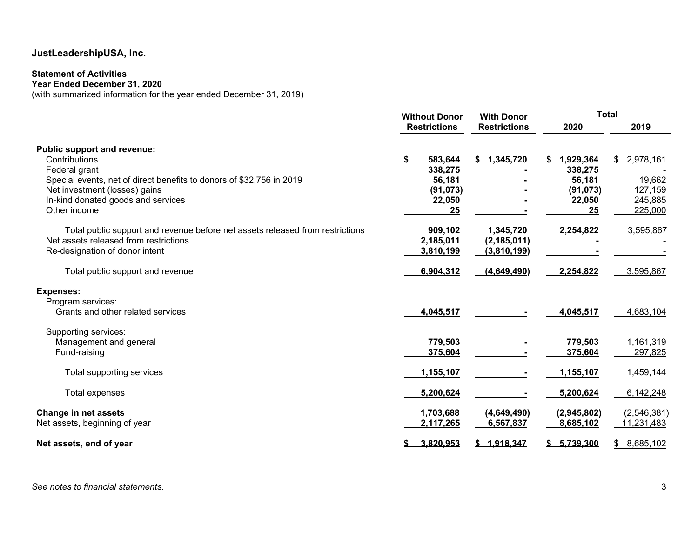# **Statement of Activities**

**Year Ended December 31, 2020** 

(with summarized information for the year ended December 31, 2019)

|                                                                               | <b>Without Donor</b> | <b>With Donor</b>   | <b>Total</b> |              |                 |  |
|-------------------------------------------------------------------------------|----------------------|---------------------|--------------|--------------|-----------------|--|
|                                                                               | <b>Restrictions</b>  | <b>Restrictions</b> |              | 2020         | 2019            |  |
| <b>Public support and revenue:</b>                                            |                      |                     |              |              |                 |  |
| Contributions                                                                 | \$<br>583,644        | \$1,345,720         | SS.          | 1,929,364    | \$<br>2,978,161 |  |
| Federal grant                                                                 | 338,275              |                     |              | 338,275      |                 |  |
| Special events, net of direct benefits to donors of \$32,756 in 2019          | 56,181               |                     |              | 56,181       | 19,662          |  |
| Net investment (losses) gains                                                 | (91, 073)            |                     |              | (91, 073)    | 127,159         |  |
| In-kind donated goods and services                                            | 22,050               |                     |              | 22,050       | 245,885         |  |
| Other income                                                                  | 25                   |                     |              | 25           | 225,000         |  |
| Total public support and revenue before net assets released from restrictions | 909,102              | 1,345,720           |              | 2,254,822    | 3,595,867       |  |
| Net assets released from restrictions                                         | 2,185,011            | (2, 185, 011)       |              |              |                 |  |
| Re-designation of donor intent                                                | 3,810,199            | (3,810,199)         |              |              |                 |  |
| Total public support and revenue                                              | 6,904,312            | (4,649,490)         |              | 2,254,822    | 3,595,867       |  |
| <b>Expenses:</b>                                                              |                      |                     |              |              |                 |  |
| Program services:                                                             |                      |                     |              |              |                 |  |
| Grants and other related services                                             | 4,045,517            |                     |              | 4,045,517    | 4,683,104       |  |
| Supporting services:                                                          |                      |                     |              |              |                 |  |
| Management and general                                                        | 779,503              |                     |              | 779,503      | 1,161,319       |  |
| Fund-raising                                                                  | 375,604              |                     |              | 375,604      | 297,825         |  |
| Total supporting services                                                     | 1,155,107            |                     |              | 1,155,107    | 1,459,144       |  |
| Total expenses                                                                | 5,200,624            |                     |              | 5,200,624    | 6,142,248       |  |
| <b>Change in net assets</b>                                                   | 1,703,688            | (4,649,490)         |              | (2,945,802)  | (2,546,381)     |  |
| Net assets, beginning of year                                                 | 2,117,265            | 6,567,837           |              | 8,685,102    | 11,231,483      |  |
| Net assets, end of year                                                       | 3,820,953            | \$1,918,347         |              | \$ 5,739,300 | \$8,685,102     |  |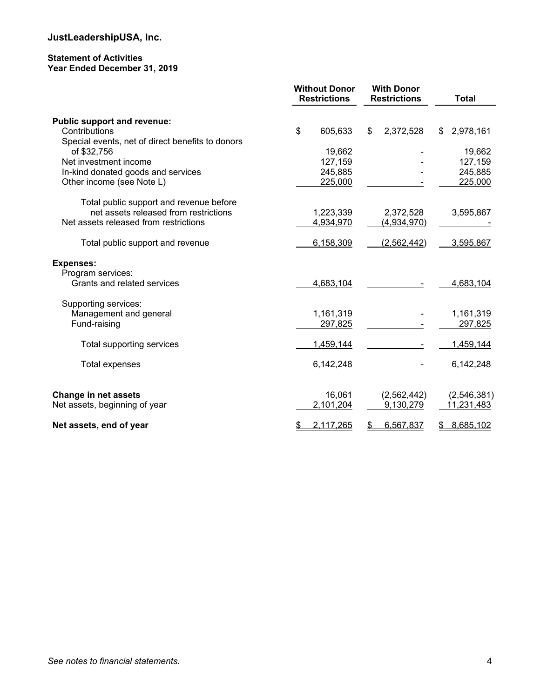# **Statement of Activities Year Ended December 31, 2019**

|                                                  | <b>Without Donor</b><br><b>Restrictions</b> | <b>With Donor</b><br><b>Restrictions</b> | <b>Total</b>    |
|--------------------------------------------------|---------------------------------------------|------------------------------------------|-----------------|
| Public support and revenue:                      |                                             |                                          |                 |
| Contributions                                    | \$<br>605,633                               | 2,372,528<br>\$                          | 2,978,161<br>\$ |
| Special events, net of direct benefits to donors |                                             |                                          |                 |
| of \$32,756                                      | 19,662                                      |                                          | 19,662          |
| Net investment income                            | 127,159                                     |                                          | 127,159         |
| In-kind donated goods and services               | 245,885                                     |                                          | 245,885         |
| Other income (see Note L)                        | 225,000                                     |                                          | 225,000         |
| Total public support and revenue before          |                                             |                                          |                 |
| net assets released from restrictions            | 1,223,339                                   | 2,372,528                                | 3,595,867       |
| Net assets released from restrictions            | 4,934,970                                   | (4,934,970)                              |                 |
| Total public support and revenue                 | 6,158,309                                   | (2,562,442)                              | 3,595,867       |
| <b>Expenses:</b>                                 |                                             |                                          |                 |
| Program services:                                |                                             |                                          |                 |
| Grants and related services                      | 4,683,104                                   |                                          | 4,683,104       |
| Supporting services:                             |                                             |                                          |                 |
| Management and general                           | 1,161,319                                   |                                          | 1,161,319       |
| Fund-raising                                     | 297,825                                     |                                          | 297,825         |
| Total supporting services                        | 1,459,144                                   |                                          | 1,459,144       |
| <b>Total expenses</b>                            | 6,142,248                                   |                                          | 6,142,248       |
|                                                  |                                             |                                          |                 |
| <b>Change in net assets</b>                      | 16,061                                      | (2,562,442)                              | (2,546,381)     |
| Net assets, beginning of year                    | 2,101,204                                   | 9,130,279                                | 11,231,483      |
| Net assets, end of year                          | 2,117,265<br>S                              | 6,567,837<br>\$                          | 8,685,102<br>\$ |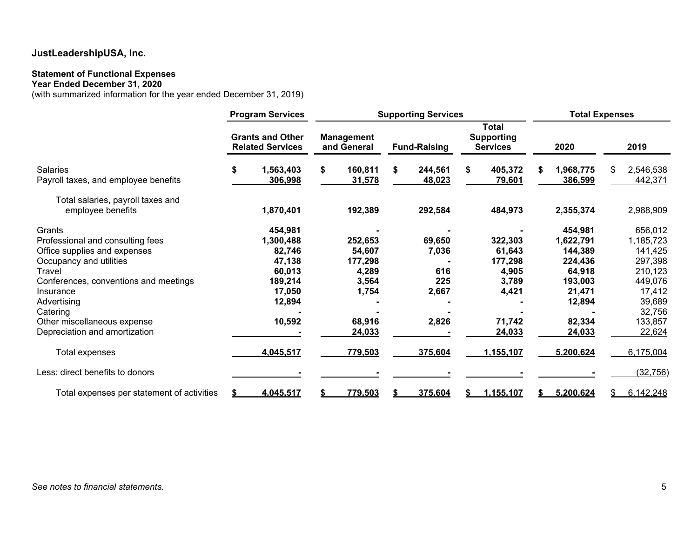#### **Statement of Functional Expenses**

#### **Year Ended December 31, 2020**

(with summarized information for the year ended December 31, 2019)

|                                                                                                                                                                                                                                                                  |                                                    | <b>Program Services</b>                                                                     | <b>Supporting Services</b> |                                                                             |    | <b>Total Expenses</b>                           |  |                                                                             |   |                                                                                                         |  |                                                                                                                     |  |      |
|------------------------------------------------------------------------------------------------------------------------------------------------------------------------------------------------------------------------------------------------------------------|----------------------------------------------------|---------------------------------------------------------------------------------------------|----------------------------|-----------------------------------------------------------------------------|----|-------------------------------------------------|--|-----------------------------------------------------------------------------|---|---------------------------------------------------------------------------------------------------------|--|---------------------------------------------------------------------------------------------------------------------|--|------|
|                                                                                                                                                                                                                                                                  | <b>Grants and Other</b><br><b>Related Services</b> |                                                                                             |                            | <b>Management</b><br>and General                                            |    | <b>Fund-Raising</b>                             |  | <b>Total</b><br><b>Supporting</b><br><b>Services</b>                        |   |                                                                                                         |  | 2020                                                                                                                |  | 2019 |
| <b>Salaries</b><br>Payroll taxes, and employee benefits                                                                                                                                                                                                          | S                                                  | 1,563,403<br>306,998                                                                        | \$                         | 160,811<br>31,578                                                           | \$ | 244,561<br>48,023                               |  | 405,372<br>79,601                                                           | S | 1,968,775<br>386,599                                                                                    |  | 2,546,538<br>442,371                                                                                                |  |      |
| Total salaries, payroll taxes and<br>employee benefits                                                                                                                                                                                                           |                                                    | 1,870,401                                                                                   |                            | 192,389                                                                     |    | 292,584                                         |  | 484,973                                                                     |   | 2,355,374                                                                                               |  | 2,988,909                                                                                                           |  |      |
| Grants<br>Professional and consulting fees<br>Office supplies and expenses<br>Occupancy and utilities<br>Travel<br>Conferences, conventions and meetings<br>Insurance<br>Advertising<br>Catering<br>Other miscellaneous expense<br>Depreciation and amortization |                                                    | 454,981<br>1,300,488<br>82,746<br>47,138<br>60,013<br>189,214<br>17,050<br>12,894<br>10,592 |                            | 252,653<br>54,607<br>177,298<br>4,289<br>3,564<br>1,754<br>68,916<br>24,033 |    | 69,650<br>7,036<br>616<br>225<br>2,667<br>2,826 |  | 322,303<br>61,643<br>177,298<br>4,905<br>3,789<br>4,421<br>71,742<br>24,033 |   | 454,981<br>1,622,791<br>144,389<br>224,436<br>64,918<br>193,003<br>21,471<br>12,894<br>82,334<br>24,033 |  | 656,012<br>1,185,723<br>141,425<br>297,398<br>210,123<br>449,076<br>17,412<br>39,689<br>32,756<br>133,857<br>22,624 |  |      |
| Total expenses                                                                                                                                                                                                                                                   |                                                    | 4,045,517                                                                                   |                            | 779,503                                                                     |    | 375,604                                         |  | 1,155,107                                                                   |   | 5,200,624                                                                                               |  | 6,175,004                                                                                                           |  |      |
| Less: direct benefits to donors                                                                                                                                                                                                                                  |                                                    |                                                                                             |                            |                                                                             |    |                                                 |  |                                                                             |   |                                                                                                         |  | (32, 756)                                                                                                           |  |      |
| Total expenses per statement of activities                                                                                                                                                                                                                       |                                                    | 4,045,517                                                                                   |                            | 779,503                                                                     |    | 375,604                                         |  | 1,155,107                                                                   |   | 5,200,624                                                                                               |  | 6,142,248                                                                                                           |  |      |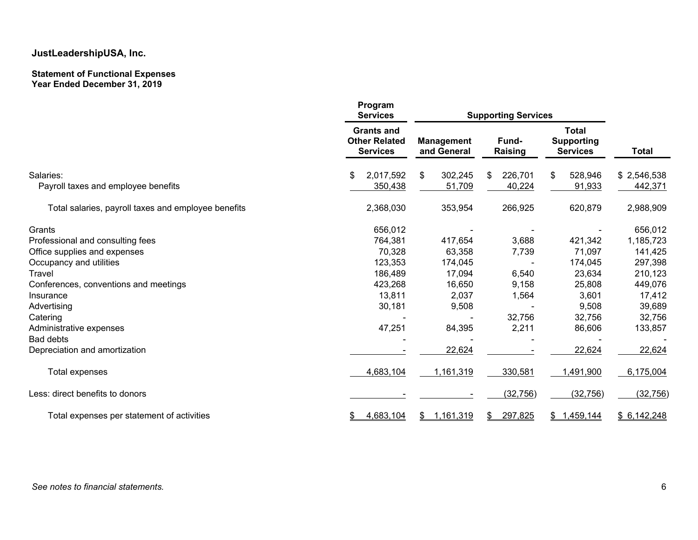#### **Statement of Functional Expenses Year Ended December 31, 2019**

|                                                     | Program<br><b>Services</b>                                   | <b>Supporting Services</b>       |                  |                                                      |              |  |
|-----------------------------------------------------|--------------------------------------------------------------|----------------------------------|------------------|------------------------------------------------------|--------------|--|
|                                                     | <b>Grants and</b><br><b>Other Related</b><br><b>Services</b> | <b>Management</b><br>and General | Fund-<br>Raising | <b>Total</b><br><b>Supporting</b><br><b>Services</b> | <b>Total</b> |  |
| Salaries:                                           | 2,017,592<br>\$                                              | 302,245<br>\$                    | 226,701<br>\$.   | 528,946<br>\$                                        | \$2,546,538  |  |
| Payroll taxes and employee benefits                 | 350,438                                                      | 51,709                           | 40,224           | 91,933                                               | 442,371      |  |
| Total salaries, payroll taxes and employee benefits | 2,368,030                                                    | 353,954                          | 266,925          | 620,879                                              | 2,988,909    |  |
| Grants                                              | 656,012                                                      |                                  |                  |                                                      | 656,012      |  |
| Professional and consulting fees                    | 764,381                                                      | 417,654                          | 3,688            | 421,342                                              | 1,185,723    |  |
| Office supplies and expenses                        | 70,328                                                       | 63,358                           | 7,739            | 71,097                                               | 141,425      |  |
| Occupancy and utilities                             | 123,353                                                      | 174,045                          |                  | 174,045                                              | 297,398      |  |
| Travel                                              | 186,489                                                      | 17,094                           | 6,540            | 23,634                                               | 210,123      |  |
| Conferences, conventions and meetings               | 423,268                                                      | 16,650                           | 9,158            | 25,808                                               | 449,076      |  |
| Insurance                                           | 13,811                                                       | 2,037                            | 1,564            | 3,601                                                | 17,412       |  |
| Advertising                                         | 30,181                                                       | 9,508                            |                  | 9,508                                                | 39,689       |  |
| Catering                                            |                                                              |                                  | 32,756           | 32,756                                               | 32,756       |  |
| Administrative expenses                             | 47,251                                                       | 84,395                           | 2,211            | 86,606                                               | 133,857      |  |
| <b>Bad debts</b>                                    |                                                              |                                  |                  |                                                      |              |  |
| Depreciation and amortization                       |                                                              | 22,624                           |                  | 22,624                                               | 22,624       |  |
| Total expenses                                      | 4,683,104                                                    | 1,161,319                        | 330,581          | 1,491,900                                            | 6,175,004    |  |
| Less: direct benefits to donors                     |                                                              |                                  | (32, 756)        | (32, 756)                                            | (32, 756)    |  |
| Total expenses per statement of activities          | 4,683,104<br>\$                                              | 1,161,319<br>\$                  | 297,825<br>\$    | \$1,459,144                                          | \$6,142,248  |  |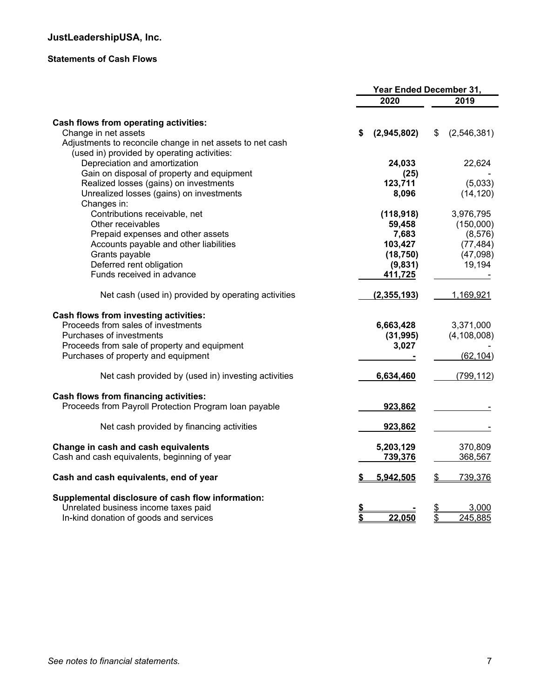# **Statements of Cash Flows**

|                                                           | Year Ended December 31, |             |          |               |
|-----------------------------------------------------------|-------------------------|-------------|----------|---------------|
|                                                           |                         | 2020        |          | 2019          |
| <b>Cash flows from operating activities:</b>              |                         |             |          |               |
| Change in net assets                                      | S                       | (2,945,802) | \$       | (2,546,381)   |
| Adjustments to reconcile change in net assets to net cash |                         |             |          |               |
| (used in) provided by operating activities:               |                         |             |          |               |
| Depreciation and amortization                             |                         | 24,033      |          | 22,624        |
| Gain on disposal of property and equipment                |                         | (25)        |          |               |
| Realized losses (gains) on investments                    |                         | 123,711     |          | (5,033)       |
| Unrealized losses (gains) on investments                  |                         | 8,096       |          | (14, 120)     |
| Changes in:                                               |                         |             |          |               |
| Contributions receivable, net                             |                         | (118, 918)  |          | 3,976,795     |
| Other receivables                                         |                         |             |          |               |
|                                                           |                         | 59,458      |          | (150,000)     |
| Prepaid expenses and other assets                         |                         | 7,683       |          | (8,576)       |
| Accounts payable and other liabilities                    |                         | 103,427     |          | (77, 484)     |
| Grants payable                                            |                         | (18, 750)   |          | (47,098)      |
| Deferred rent obligation                                  |                         | (9,831)     |          | 19,194        |
| Funds received in advance                                 |                         | 411,725     |          |               |
| Net cash (used in) provided by operating activities       |                         | (2,355,193) |          | 1,169,921     |
| Cash flows from investing activities:                     |                         |             |          |               |
| Proceeds from sales of investments                        |                         | 6,663,428   |          | 3,371,000     |
| Purchases of investments                                  |                         | (31, 995)   |          | (4, 108, 008) |
| Proceeds from sale of property and equipment              |                         | 3,027       |          |               |
| Purchases of property and equipment                       |                         |             |          | (62, 104)     |
|                                                           |                         |             |          |               |
| Net cash provided by (used in) investing activities       |                         | 6,634,460   |          | (799, 112)    |
| <b>Cash flows from financing activities:</b>              |                         |             |          |               |
| Proceeds from Payroll Protection Program Ioan payable     |                         | 923,862     |          |               |
| Net cash provided by financing activities                 |                         | 923,862     |          |               |
| Change in cash and cash equivalents                       |                         | 5,203,129   |          | 370,809       |
| Cash and cash equivalents, beginning of year              |                         | 739,376     |          | 368,567       |
| Cash and cash equivalents, end of year                    |                         | 5,942,505   | \$       | 739,376       |
| Supplemental disclosure of cash flow information:         |                         |             |          |               |
| Unrelated business income taxes paid                      |                         |             |          | 3,000         |
| In-kind donation of goods and services                    | \$                      | 22.050      | \$<br>\$ | 245,885       |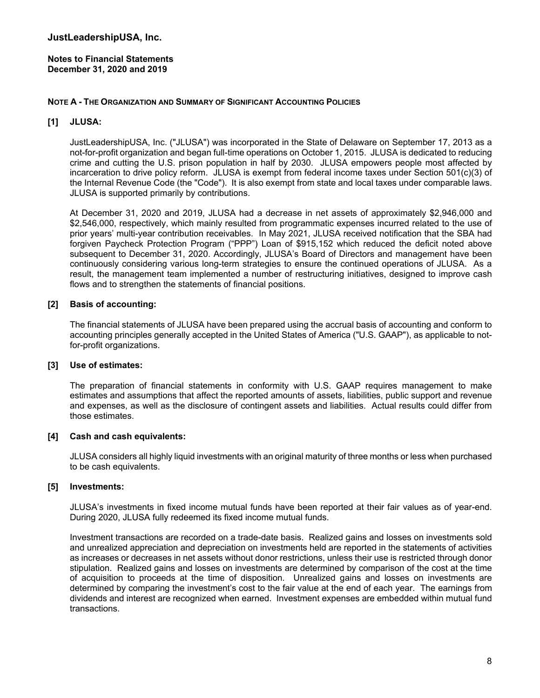**Notes to Financial Statements December 31, 2020 and 2019** 

# **NOTE A - THE ORGANIZATION AND SUMMARY OF SIGNIFICANT ACCOUNTING POLICIES**

# **[1] JLUSA:**

JustLeadershipUSA, Inc. ("JLUSA") was incorporated in the State of Delaware on September 17, 2013 as a not-for-profit organization and began full-time operations on October 1, 2015. JLUSA is dedicated to reducing crime and cutting the U.S. prison population in half by 2030. JLUSA empowers people most affected by incarceration to drive policy reform. JLUSA is exempt from federal income taxes under Section 501(c)(3) of the Internal Revenue Code (the "Code"). It is also exempt from state and local taxes under comparable laws. JLUSA is supported primarily by contributions.

At December 31, 2020 and 2019, JLUSA had a decrease in net assets of approximately \$2,946,000 and \$2,546,000, respectively, which mainly resulted from programmatic expenses incurred related to the use of prior years' multi-year contribution receivables. In May 2021, JLUSA received notification that the SBA had forgiven Paycheck Protection Program ("PPP") Loan of \$915,152 which reduced the deficit noted above subsequent to December 31, 2020. Accordingly, JLUSA's Board of Directors and management have been continuously considering various long-term strategies to ensure the continued operations of JLUSA. As a result, the management team implemented a number of restructuring initiatives, designed to improve cash flows and to strengthen the statements of financial positions.

# **[2] Basis of accounting:**

The financial statements of JLUSA have been prepared using the accrual basis of accounting and conform to accounting principles generally accepted in the United States of America ("U.S. GAAP"), as applicable to notfor-profit organizations.

#### **[3] Use of estimates:**

The preparation of financial statements in conformity with U.S. GAAP requires management to make estimates and assumptions that affect the reported amounts of assets, liabilities, public support and revenue and expenses, as well as the disclosure of contingent assets and liabilities. Actual results could differ from those estimates.

# **[4] Cash and cash equivalents:**

JLUSA considers all highly liquid investments with an original maturity of three months or less when purchased to be cash equivalents.

# **[5] Investments:**

JLUSA's investments in fixed income mutual funds have been reported at their fair values as of year-end. During 2020, JLUSA fully redeemed its fixed income mutual funds.

Investment transactions are recorded on a trade-date basis. Realized gains and losses on investments sold and unrealized appreciation and depreciation on investments held are reported in the statements of activities as increases or decreases in net assets without donor restrictions, unless their use is restricted through donor stipulation. Realized gains and losses on investments are determined by comparison of the cost at the time of acquisition to proceeds at the time of disposition. Unrealized gains and losses on investments are determined by comparing the investment's cost to the fair value at the end of each year. The earnings from dividends and interest are recognized when earned. Investment expenses are embedded within mutual fund transactions.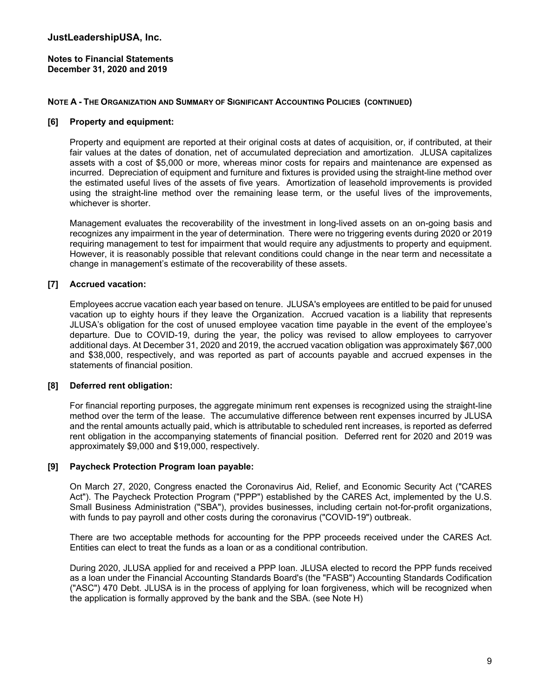**Notes to Financial Statements December 31, 2020 and 2019** 

# **NOTE A - THE ORGANIZATION AND SUMMARY OF SIGNIFICANT ACCOUNTING POLICIES (CONTINUED)**

#### **[6] Property and equipment:**

Property and equipment are reported at their original costs at dates of acquisition, or, if contributed, at their fair values at the dates of donation, net of accumulated depreciation and amortization. JLUSA capitalizes assets with a cost of \$5,000 or more, whereas minor costs for repairs and maintenance are expensed as incurred. Depreciation of equipment and furniture and fixtures is provided using the straight-line method over the estimated useful lives of the assets of five years. Amortization of leasehold improvements is provided using the straight-line method over the remaining lease term, or the useful lives of the improvements, whichever is shorter.

Management evaluates the recoverability of the investment in long-lived assets on an on-going basis and recognizes any impairment in the year of determination. There were no triggering events during 2020 or 2019 requiring management to test for impairment that would require any adjustments to property and equipment. However, it is reasonably possible that relevant conditions could change in the near term and necessitate a change in management's estimate of the recoverability of these assets.

# **[7] Accrued vacation:**

Employees accrue vacation each year based on tenure. JLUSA's employees are entitled to be paid for unused vacation up to eighty hours if they leave the Organization. Accrued vacation is a liability that represents JLUSA's obligation for the cost of unused employee vacation time payable in the event of the employee's departure. Due to COVID-19, during the year, the policy was revised to allow employees to carryover additional days. At December 31, 2020 and 2019, the accrued vacation obligation was approximately \$67,000 and \$38,000, respectively, and was reported as part of accounts payable and accrued expenses in the statements of financial position.

# **[8] Deferred rent obligation:**

For financial reporting purposes, the aggregate minimum rent expenses is recognized using the straight-line method over the term of the lease. The accumulative difference between rent expenses incurred by JLUSA and the rental amounts actually paid, which is attributable to scheduled rent increases, is reported as deferred rent obligation in the accompanying statements of financial position. Deferred rent for 2020 and 2019 was approximately \$9,000 and \$19,000, respectively.

#### **[9] Paycheck Protection Program loan payable:**

On March 27, 2020, Congress enacted the Coronavirus Aid, Relief, and Economic Security Act ("CARES Act"). The Paycheck Protection Program ("PPP") established by the CARES Act, implemented by the U.S. Small Business Administration ("SBA"), provides businesses, including certain not-for-profit organizations, with funds to pay payroll and other costs during the coronavirus ("COVID-19") outbreak.

There are two acceptable methods for accounting for the PPP proceeds received under the CARES Act. Entities can elect to treat the funds as a loan or as a conditional contribution.

During 2020, JLUSA applied for and received a PPP loan. JLUSA elected to record the PPP funds received as a loan under the Financial Accounting Standards Board's (the "FASB") Accounting Standards Codification ("ASC") 470 Debt. JLUSA is in the process of applying for loan forgiveness, which will be recognized when the application is formally approved by the bank and the SBA. (see Note H)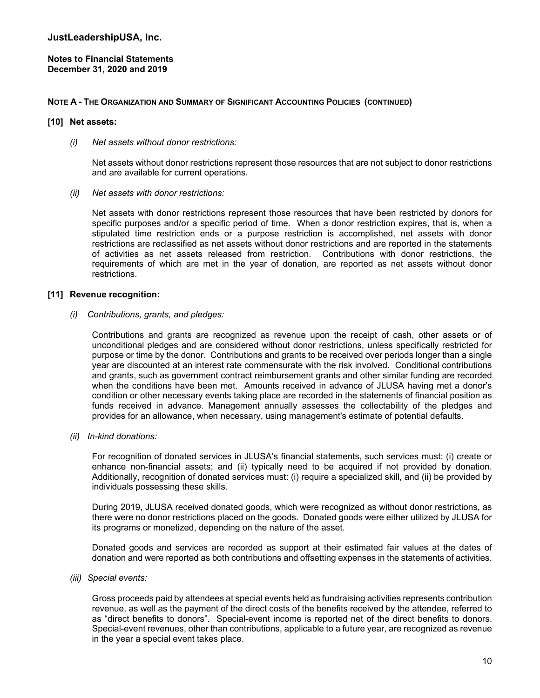**Notes to Financial Statements December 31, 2020 and 2019** 

# **NOTE A - THE ORGANIZATION AND SUMMARY OF SIGNIFICANT ACCOUNTING POLICIES (CONTINUED)**

# **[10] Net assets:**

*(i) Net assets without donor restrictions:* 

Net assets without donor restrictions represent those resources that are not subject to donor restrictions and are available for current operations.

*(ii) Net assets with donor restrictions:* 

Net assets with donor restrictions represent those resources that have been restricted by donors for specific purposes and/or a specific period of time. When a donor restriction expires, that is, when a stipulated time restriction ends or a purpose restriction is accomplished, net assets with donor restrictions are reclassified as net assets without donor restrictions and are reported in the statements of activities as net assets released from restriction. Contributions with donor restrictions, the requirements of which are met in the year of donation, are reported as net assets without donor restrictions.

# **[11] Revenue recognition:**

# *(i) Contributions, grants, and pledges:*

Contributions and grants are recognized as revenue upon the receipt of cash, other assets or of unconditional pledges and are considered without donor restrictions, unless specifically restricted for purpose or time by the donor. Contributions and grants to be received over periods longer than a single year are discounted at an interest rate commensurate with the risk involved. Conditional contributions and grants, such as government contract reimbursement grants and other similar funding are recorded when the conditions have been met. Amounts received in advance of JLUSA having met a donor's condition or other necessary events taking place are recorded in the statements of financial position as funds received in advance. Management annually assesses the collectability of the pledges and provides for an allowance, when necessary, using management's estimate of potential defaults.

*(ii) In-kind donations:* 

For recognition of donated services in JLUSA's financial statements, such services must: (i) create or enhance non-financial assets; and (ii) typically need to be acquired if not provided by donation. Additionally, recognition of donated services must: (i) require a specialized skill, and (ii) be provided by individuals possessing these skills.

During 2019, JLUSA received donated goods, which were recognized as without donor restrictions, as there were no donor restrictions placed on the goods. Donated goods were either utilized by JLUSA for its programs or monetized, depending on the nature of the asset.

Donated goods and services are recorded as support at their estimated fair values at the dates of donation and were reported as both contributions and offsetting expenses in the statements of activities.

*(iii) Special events:* 

Gross proceeds paid by attendees at special events held as fundraising activities represents contribution revenue, as well as the payment of the direct costs of the benefits received by the attendee, referred to as "direct benefits to donors". Special-event income is reported net of the direct benefits to donors. Special-event revenues, other than contributions, applicable to a future year, are recognized as revenue in the year a special event takes place.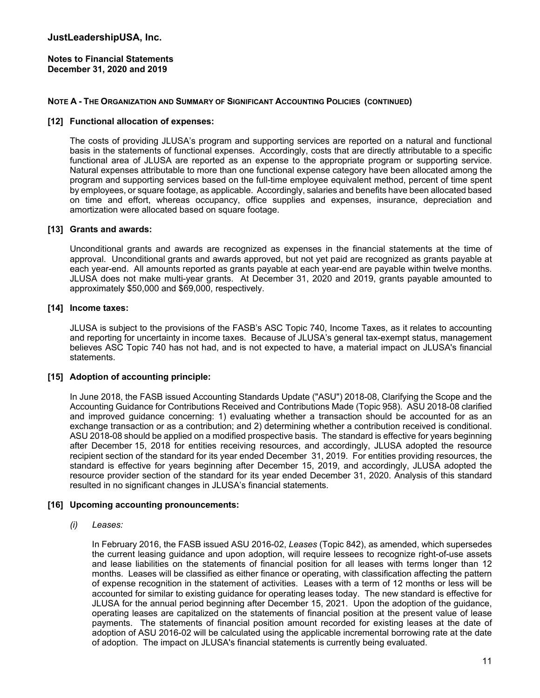# **Notes to Financial Statements December 31, 2020 and 2019**

# **NOTE A - THE ORGANIZATION AND SUMMARY OF SIGNIFICANT ACCOUNTING POLICIES (CONTINUED)**

# **[12] Functional allocation of expenses:**

The costs of providing JLUSA's program and supporting services are reported on a natural and functional basis in the statements of functional expenses. Accordingly, costs that are directly attributable to a specific functional area of JLUSA are reported as an expense to the appropriate program or supporting service. Natural expenses attributable to more than one functional expense category have been allocated among the program and supporting services based on the full-time employee equivalent method, percent of time spent by employees, or square footage, as applicable. Accordingly, salaries and benefits have been allocated based on time and effort, whereas occupancy, office supplies and expenses, insurance, depreciation and amortization were allocated based on square footage.

# **[13] Grants and awards:**

Unconditional grants and awards are recognized as expenses in the financial statements at the time of approval. Unconditional grants and awards approved, but not yet paid are recognized as grants payable at each year-end. All amounts reported as grants payable at each year-end are payable within twelve months. JLUSA does not make multi-year grants. At December 31, 2020 and 2019, grants payable amounted to approximately \$50,000 and \$69,000, respectively.

# **[14] Income taxes:**

JLUSA is subject to the provisions of the FASB's ASC Topic 740, Income Taxes, as it relates to accounting and reporting for uncertainty in income taxes. Because of JLUSA's general tax-exempt status, management believes ASC Topic 740 has not had, and is not expected to have, a material impact on JLUSA's financial statements.

# **[15] Adoption of accounting principle:**

In June 2018, the FASB issued Accounting Standards Update ("ASU") 2018-08, Clarifying the Scope and the Accounting Guidance for Contributions Received and Contributions Made (Topic 958). ASU 2018-08 clarified and improved guidance concerning: 1) evaluating whether a transaction should be accounted for as an exchange transaction or as a contribution; and 2) determining whether a contribution received is conditional. ASU 2018-08 should be applied on a modified prospective basis. The standard is effective for years beginning after December 15, 2018 for entities receiving resources, and accordingly, JLUSA adopted the resource recipient section of the standard for its year ended December 31, 2019. For entities providing resources, the standard is effective for years beginning after December 15, 2019, and accordingly, JLUSA adopted the resource provider section of the standard for its year ended December 31, 2020. Analysis of this standard resulted in no significant changes in JLUSA's financial statements.

# **[16] Upcoming accounting pronouncements:**

*(i) Leases:* 

In February 2016, the FASB issued ASU 2016-02, *Leases* (Topic 842), as amended, which supersedes the current leasing guidance and upon adoption, will require lessees to recognize right-of-use assets and lease liabilities on the statements of financial position for all leases with terms longer than 12 months. Leases will be classified as either finance or operating, with classification affecting the pattern of expense recognition in the statement of activities. Leases with a term of 12 months or less will be accounted for similar to existing guidance for operating leases today. The new standard is effective for JLUSA for the annual period beginning after December 15, 2021. Upon the adoption of the guidance, operating leases are capitalized on the statements of financial position at the present value of lease payments. The statements of financial position amount recorded for existing leases at the date of adoption of ASU 2016-02 will be calculated using the applicable incremental borrowing rate at the date of adoption. The impact on JLUSA's financial statements is currently being evaluated.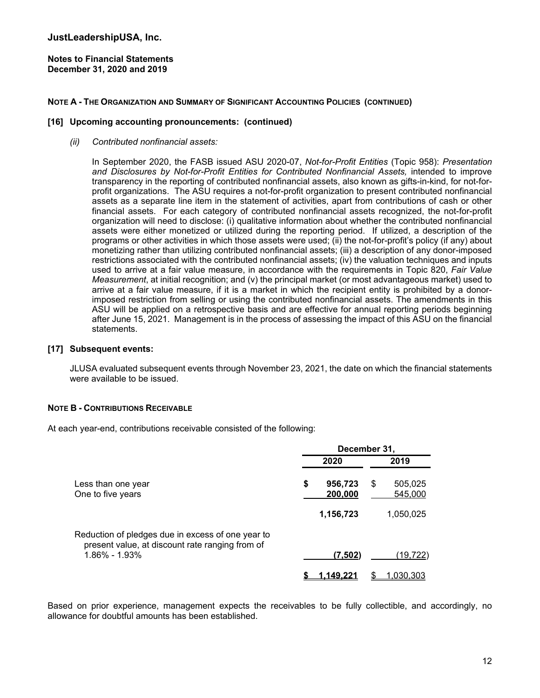**Notes to Financial Statements December 31, 2020 and 2019** 

#### **NOTE A - THE ORGANIZATION AND SUMMARY OF SIGNIFICANT ACCOUNTING POLICIES (CONTINUED)**

#### **[16] Upcoming accounting pronouncements: (continued)**

*(ii) Contributed nonfinancial assets:* 

In September 2020, the FASB issued ASU 2020-07, *Not-for-Profit Entities* (Topic 958): *Presentation and Disclosures by Not-for-Profit Entities for Contributed Nonfinancial Assets,* intended to improve transparency in the reporting of contributed nonfinancial assets, also known as gifts-in-kind, for not-forprofit organizations. The ASU requires a not-for-profit organization to present contributed nonfinancial assets as a separate line item in the statement of activities, apart from contributions of cash or other financial assets. For each category of contributed nonfinancial assets recognized, the not-for-profit organization will need to disclose: (i) qualitative information about whether the contributed nonfinancial assets were either monetized or utilized during the reporting period. If utilized, a description of the programs or other activities in which those assets were used; (ii) the not-for-profit's policy (if any) about monetizing rather than utilizing contributed nonfinancial assets; (iii) a description of any donor-imposed restrictions associated with the contributed nonfinancial assets; (iv) the valuation techniques and inputs used to arrive at a fair value measure, in accordance with the requirements in Topic 820, *Fair Value Measurement*, at initial recognition; and (v) the principal market (or most advantageous market) used to arrive at a fair value measure, if it is a market in which the recipient entity is prohibited by a donorimposed restriction from selling or using the contributed nonfinancial assets. The amendments in this ASU will be applied on a retrospective basis and are effective for annual reporting periods beginning after June 15, 2021. Management is in the process of assessing the impact of this ASU on the financial statements.

#### **[17] Subsequent events:**

JLUSA evaluated subsequent events through November 23, 2021, the date on which the financial statements were available to be issued.

#### **NOTE B - CONTRIBUTIONS RECEIVABLE**

At each year-end, contributions receivable consisted of the following:

|                                                                                                      | December 31, |                    |    |                    |
|------------------------------------------------------------------------------------------------------|--------------|--------------------|----|--------------------|
|                                                                                                      |              | 2020               |    | 2019               |
| Less than one year<br>One to five years                                                              | \$           | 956,723<br>200,000 | \$ | 505,025<br>545,000 |
|                                                                                                      |              | 1,156,723          |    | 1,050,025          |
| Reduction of pledges due in excess of one year to<br>present value, at discount rate ranging from of |              |                    |    |                    |
| 1.86% - 1.93%                                                                                        |              | (7,502)            |    | <u>19,722)</u>     |
|                                                                                                      |              | 149.2              |    | .030.303           |

Based on prior experience, management expects the receivables to be fully collectible, and accordingly, no allowance for doubtful amounts has been established.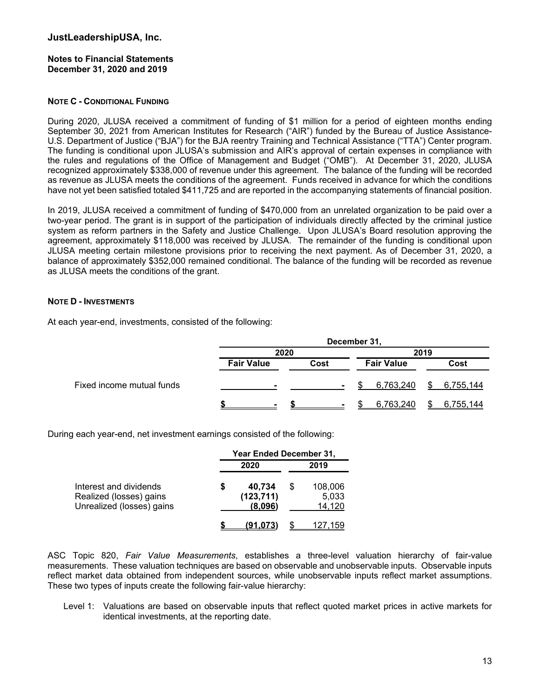#### **Notes to Financial Statements December 31, 2020 and 2019**

# **NOTE C - CONDITIONAL FUNDING**

During 2020, JLUSA received a commitment of funding of \$1 million for a period of eighteen months ending September 30, 2021 from American Institutes for Research ("AIR") funded by the Bureau of Justice Assistance-U.S. Department of Justice ("BJA") for the BJA reentry Training and Technical Assistance ("TTA") Center program. The funding is conditional upon JLUSA's submission and AIR's approval of certain expenses in compliance with the rules and regulations of the Office of Management and Budget ("OMB"). At December 31, 2020, JLUSA recognized approximately \$338,000 of revenue under this agreement. The balance of the funding will be recorded as revenue as JLUSA meets the conditions of the agreement. Funds received in advance for which the conditions have not yet been satisfied totaled \$411,725 and are reported in the accompanying statements of financial position.

In 2019, JLUSA received a commitment of funding of \$470,000 from an unrelated organization to be paid over a two-year period. The grant is in support of the participation of individuals directly affected by the criminal justice system as reform partners in the Safety and Justice Challenge. Upon JLUSA's Board resolution approving the agreement, approximately \$118,000 was received by JLUSA. The remainder of the funding is conditional upon JLUSA meeting certain milestone provisions prior to receiving the next payment. As of December 31, 2020, a balance of approximately \$352,000 remained conditional. The balance of the funding will be recorded as revenue as JLUSA meets the conditions of the grant.

# **NOTE D - INVESTMENTS**

At each year-end, investments, consisted of the following:

|                           | December 31,      |                |                   |              |  |  |
|---------------------------|-------------------|----------------|-------------------|--------------|--|--|
|                           | 2020              |                |                   | 2019         |  |  |
|                           | <b>Fair Value</b> | Cost           | <b>Fair Value</b> | Cost         |  |  |
| Fixed income mutual funds | $\blacksquare$    | $\blacksquare$ | 6,763,240         | \$ 6,755,144 |  |  |
|                           |                   | $\sim$ $\sim$  | \$6,763,240       | \$6,755,144  |  |  |

During each year-end, net investment earnings consisted of the following:

|                                                                                | Year Ended December 31, |                                 |   |                            |
|--------------------------------------------------------------------------------|-------------------------|---------------------------------|---|----------------------------|
|                                                                                |                         | 2020                            |   | 2019                       |
| Interest and dividends<br>Realized (losses) gains<br>Unrealized (losses) gains | S                       | 40,734<br>(123, 711)<br>(8,096) | S | 108,006<br>5,033<br>14.120 |
|                                                                                |                         | (91.073)                        |   | 127.159                    |

ASC Topic 820, *Fair Value Measurements*, establishes a three-level valuation hierarchy of fair-value measurements. These valuation techniques are based on observable and unobservable inputs. Observable inputs reflect market data obtained from independent sources, while unobservable inputs reflect market assumptions. These two types of inputs create the following fair-value hierarchy:

Level 1: Valuations are based on observable inputs that reflect quoted market prices in active markets for identical investments, at the reporting date.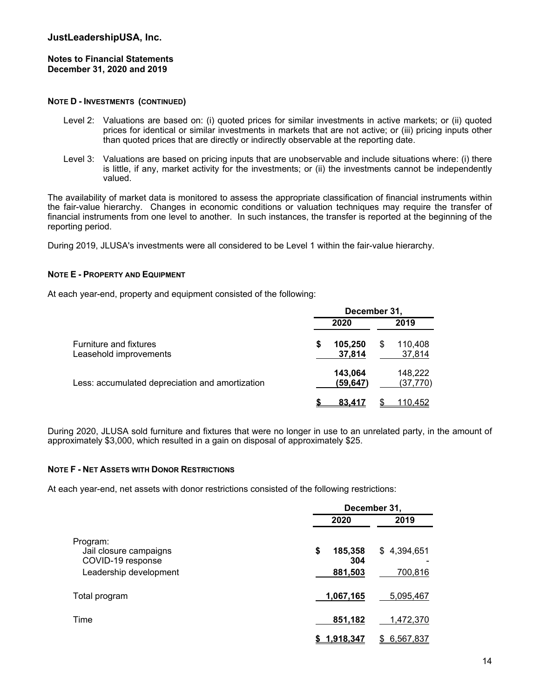# **Notes to Financial Statements December 31, 2020 and 2019**

#### **NOTE D - INVESTMENTS (CONTINUED)**

- Level 2: Valuations are based on: (i) quoted prices for similar investments in active markets; or (ii) quoted prices for identical or similar investments in markets that are not active; or (iii) pricing inputs other than quoted prices that are directly or indirectly observable at the reporting date.
- Level 3: Valuations are based on pricing inputs that are unobservable and include situations where: (i) there is little, if any, market activity for the investments; or (ii) the investments cannot be independently valued.

The availability of market data is monitored to assess the appropriate classification of financial instruments within the fair-value hierarchy. Changes in economic conditions or valuation techniques may require the transfer of financial instruments from one level to another. In such instances, the transfer is reported at the beginning of the reporting period.

During 2019, JLUSA's investments were all considered to be Level 1 within the fair-value hierarchy.

# **NOTE E - PROPERTY AND EQUIPMENT**

At each year-end, property and equipment consisted of the following:

|                                                         | December 31, |                     |    |                     |
|---------------------------------------------------------|--------------|---------------------|----|---------------------|
|                                                         |              | 2020                |    | 2019                |
| <b>Furniture and fixtures</b><br>Leasehold improvements | \$           | 105,250<br>37,814   | \$ | 110,408<br>37,814   |
| Less: accumulated depreciation and amortization         |              | 143,064<br>(59,647) |    | 148,222<br>(37,770) |
|                                                         |              | <u>83.411</u>       |    | 110.452             |

During 2020, JLUSA sold furniture and fixtures that were no longer in use to an unrelated party, in the amount of approximately \$3,000, which resulted in a gain on disposal of approximately \$25.

# **NOTE F - NET ASSETS WITH DONOR RESTRICTIONS**

At each year-end, net assets with donor restrictions consisted of the following restrictions:

|                                                                                   | December 31,                    |                        |  |  |
|-----------------------------------------------------------------------------------|---------------------------------|------------------------|--|--|
|                                                                                   | 2020                            | 2019                   |  |  |
| Program:<br>Jail closure campaigns<br>COVID-19 response<br>Leadership development | \$<br>185,358<br>304<br>881,503 | \$4,394,651<br>700,816 |  |  |
| Total program                                                                     | 1,067,165                       | 5,095,467              |  |  |
| Time                                                                              | 851,182                         | 1,472,370              |  |  |
|                                                                                   | <u>1.918.347</u><br>S.          | 6,567,837<br>S         |  |  |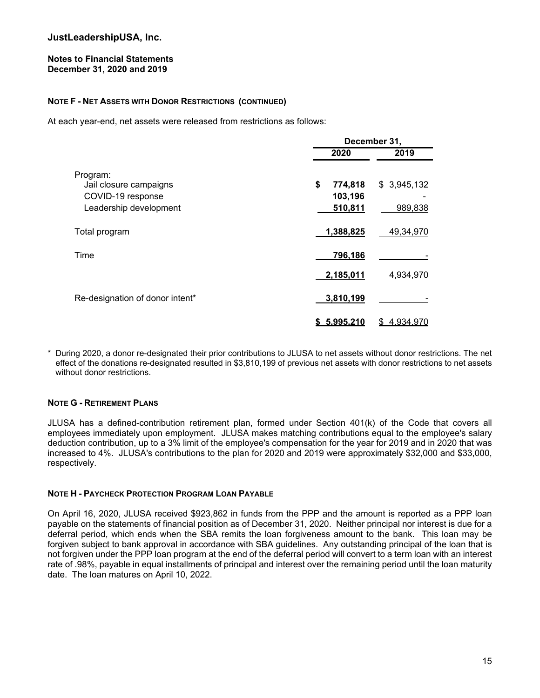# **Notes to Financial Statements December 31, 2020 and 2019**

# **NOTE F - NET ASSETS WITH DONOR RESTRICTIONS (CONTINUED)**

At each year-end, net assets were released from restrictions as follows:

|                                                                                   | December 31,                        |                        |
|-----------------------------------------------------------------------------------|-------------------------------------|------------------------|
|                                                                                   | 2020                                | 2019                   |
| Program:<br>Jail closure campaigns<br>COVID-19 response<br>Leadership development | \$<br>774,818<br>103,196<br>510,811 | \$3,945,132<br>989,838 |
| Total program                                                                     | 1,388,825                           | 49,34,970              |
| Time                                                                              | 796,186                             |                        |
|                                                                                   | 2,185,011                           | 4,934,970              |
| Re-designation of donor intent*                                                   | 3,810,199                           |                        |
|                                                                                   | 5.995.210                           | 4,934,970              |

During 2020, a donor re-designated their prior contributions to JLUSA to net assets without donor restrictions. The net effect of the donations re-designated resulted in \$3,810,199 of previous net assets with donor restrictions to net assets without donor restrictions.

# **NOTE G - RETIREMENT PLANS**

JLUSA has a defined-contribution retirement plan, formed under Section 401(k) of the Code that covers all employees immediately upon employment. JLUSA makes matching contributions equal to the employee's salary deduction contribution, up to a 3% limit of the employee's compensation for the year for 2019 and in 2020 that was increased to 4%. JLUSA's contributions to the plan for 2020 and 2019 were approximately \$32,000 and \$33,000, respectively.

# **NOTE H - PAYCHECK PROTECTION PROGRAM LOAN PAYABLE**

On April 16, 2020, JLUSA received \$923,862 in funds from the PPP and the amount is reported as a PPP loan payable on the statements of financial position as of December 31, 2020. Neither principal nor interest is due for a deferral period, which ends when the SBA remits the loan forgiveness amount to the bank. This loan may be forgiven subject to bank approval in accordance with SBA guidelines. Any outstanding principal of the loan that is not forgiven under the PPP loan program at the end of the deferral period will convert to a term loan with an interest rate of .98%, payable in equal installments of principal and interest over the remaining period until the loan maturity date. The loan matures on April 10, 2022.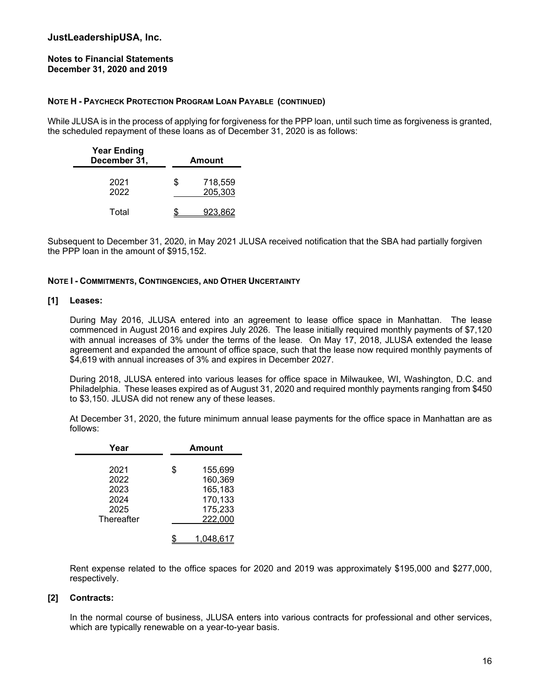# **Notes to Financial Statements December 31, 2020 and 2019**

# **NOTE H - PAYCHECK PROTECTION PROGRAM LOAN PAYABLE (CONTINUED)**

While JLUSA is in the process of applying for forgiveness for the PPP loan, until such time as forgiveness is granted, the scheduled repayment of these loans as of December 31, 2020 is as follows:

| <b>Year Ending</b><br>December 31, |    | Amount             |  |  |
|------------------------------------|----|--------------------|--|--|
| 2021<br>2022                       | S. | 718,559<br>205,303 |  |  |
| Total                              |    | 923.862            |  |  |

Subsequent to December 31, 2020, in May 2021 JLUSA received notification that the SBA had partially forgiven the PPP loan in the amount of \$915,152.

# **NOTE I - COMMITMENTS, CONTINGENCIES, AND OTHER UNCERTAINTY**

# **[1] Leases:**

During May 2016, JLUSA entered into an agreement to lease office space in Manhattan. The lease commenced in August 2016 and expires July 2026. The lease initially required monthly payments of \$7,120 with annual increases of 3% under the terms of the lease. On May 17, 2018, JLUSA extended the lease agreement and expanded the amount of office space, such that the lease now required monthly payments of \$4,619 with annual increases of 3% and expires in December 2027.

During 2018, JLUSA entered into various leases for office space in Milwaukee, WI, Washington, D.C. and Philadelphia. These leases expired as of August 31, 2020 and required monthly payments ranging from \$450 to \$3,150. JLUSA did not renew any of these leases.

At December 31, 2020, the future minimum annual lease payments for the office space in Manhattan are as follows:

| Year       | <b>Amount</b> |  |
|------------|---------------|--|
|            |               |  |
| 2021       | \$<br>155,699 |  |
| 2022       | 160,369       |  |
| 2023       | 165,183       |  |
| 2024       | 170,133       |  |
| 2025       | 175,233       |  |
| Thereafter | 222,000       |  |
|            |               |  |
|            |               |  |

Rent expense related to the office spaces for 2020 and 2019 was approximately \$195,000 and \$277,000, respectively.

# **[2] Contracts:**

In the normal course of business, JLUSA enters into various contracts for professional and other services, which are typically renewable on a year-to-year basis.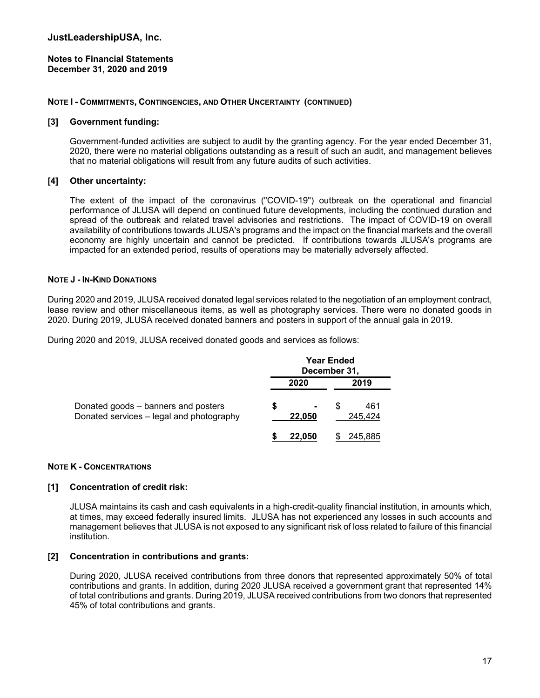**Notes to Financial Statements December 31, 2020 and 2019** 

#### **NOTE I - COMMITMENTS, CONTINGENCIES, AND OTHER UNCERTAINTY (CONTINUED)**

#### **[3] Government funding:**

Government-funded activities are subject to audit by the granting agency. For the year ended December 31, 2020, there were no material obligations outstanding as a result of such an audit, and management believes that no material obligations will result from any future audits of such activities.

# **[4] Other uncertainty:**

The extent of the impact of the coronavirus ("COVID-19") outbreak on the operational and financial performance of JLUSA will depend on continued future developments, including the continued duration and spread of the outbreak and related travel advisories and restrictions. The impact of COVID-19 on overall availability of contributions towards JLUSA's programs and the impact on the financial markets and the overall economy are highly uncertain and cannot be predicted. If contributions towards JLUSA's programs are impacted for an extended period, results of operations may be materially adversely affected.

# **NOTE J - IN-KIND DONATIONS**

During 2020 and 2019, JLUSA received donated legal services related to the negotiation of an employment contract, lease review and other miscellaneous items, as well as photography services. There were no donated goods in 2020. During 2019, JLUSA received donated banners and posters in support of the annual gala in 2019.

During 2020 and 2019, JLUSA received donated goods and services as follows:

|                                                                                 | <b>Year Ended</b><br>December 31, |        |    |                |
|---------------------------------------------------------------------------------|-----------------------------------|--------|----|----------------|
|                                                                                 | 2020                              |        |    | 2019           |
| Donated goods – banners and posters<br>Donated services - legal and photography | \$                                | 22,050 | SS | 461<br>245.424 |
|                                                                                 |                                   | 22.050 |    | 245.885        |

# **NOTE K - CONCENTRATIONS**

# **[1] Concentration of credit risk:**

JLUSA maintains its cash and cash equivalents in a high-credit-quality financial institution, in amounts which, at times, may exceed federally insured limits. JLUSA has not experienced any losses in such accounts and management believes that JLUSA is not exposed to any significant risk of loss related to failure of this financial institution.

# **[2] Concentration in contributions and grants:**

During 2020, JLUSA received contributions from three donors that represented approximately 50% of total contributions and grants. In addition, during 2020 JLUSA received a government grant that represented 14% of total contributions and grants. During 2019, JLUSA received contributions from two donors that represented 45% of total contributions and grants.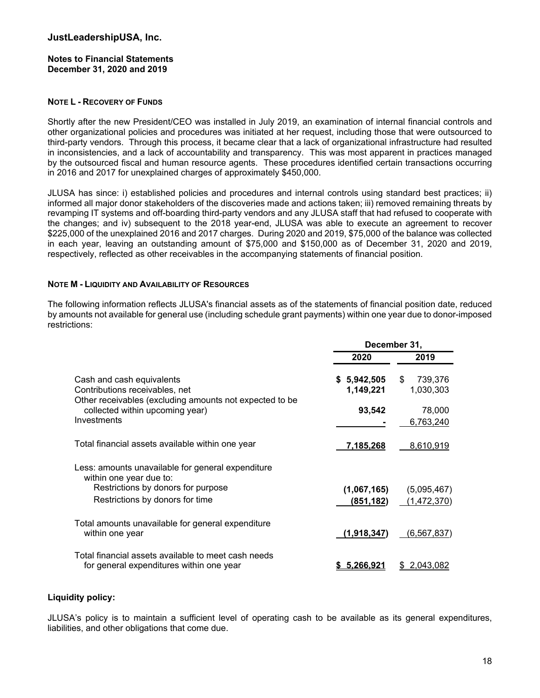# **Notes to Financial Statements December 31, 2020 and 2019**

# **NOTE L - RECOVERY OF FUNDS**

Shortly after the new President/CEO was installed in July 2019, an examination of internal financial controls and other organizational policies and procedures was initiated at her request, including those that were outsourced to third-party vendors. Through this process, it became clear that a lack of organizational infrastructure had resulted in inconsistencies, and a lack of accountability and transparency. This was most apparent in practices managed by the outsourced fiscal and human resource agents. These procedures identified certain transactions occurring in 2016 and 2017 for unexplained charges of approximately \$450,000.

JLUSA has since: i) established policies and procedures and internal controls using standard best practices; ii) informed all major donor stakeholders of the discoveries made and actions taken; iii) removed remaining threats by revamping IT systems and off-boarding third-party vendors and any JLUSA staff that had refused to cooperate with the changes; and iv) subsequent to the 2018 year-end, JLUSA was able to execute an agreement to recover \$225,000 of the unexplained 2016 and 2017 charges. During 2020 and 2019, \$75,000 of the balance was collected in each year, leaving an outstanding amount of \$75,000 and \$150,000 as of December 31, 2020 and 2019, respectively, reflected as other receivables in the accompanying statements of financial position.

# **NOTE M - LIQUIDITY AND AVAILABILITY OF RESOURCES**

The following information reflects JLUSA's financial assets as of the statements of financial position date, reduced by amounts not available for general use (including schedule grant payments) within one year due to donor-imposed restrictions:

|                                                                                                                        | December 31,             |                            |  |
|------------------------------------------------------------------------------------------------------------------------|--------------------------|----------------------------|--|
|                                                                                                                        | 2020                     | 2019                       |  |
| Cash and cash equivalents<br>Contributions receivables, net<br>Other receivables (excluding amounts not expected to be | \$5,942,505<br>1,149,221 | 739,376<br>\$<br>1,030,303 |  |
| collected within upcoming year)<br>Investments                                                                         | 93,542                   | 78,000<br>6,763,240        |  |
| Total financial assets available within one year                                                                       | <u>7,185,268</u>         | 8,610,919                  |  |
| Less: amounts unavailable for general expenditure<br>within one year due to:                                           |                          |                            |  |
| Restrictions by donors for purpose<br>Restrictions by donors for time                                                  | (1,067,165)<br>(851,182) | (5,095,467)<br>(1,472,370) |  |
| Total amounts unavailable for general expenditure<br>within one year                                                   | (1,918,347)              | (6, 567, 837)              |  |
| Total financial assets available to meet cash needs<br>for general expenditures within one year                        | <u>5.266.921</u>         | 2,043,082                  |  |

# **Liquidity policy:**

JLUSA's policy is to maintain a sufficient level of operating cash to be available as its general expenditures, liabilities, and other obligations that come due.